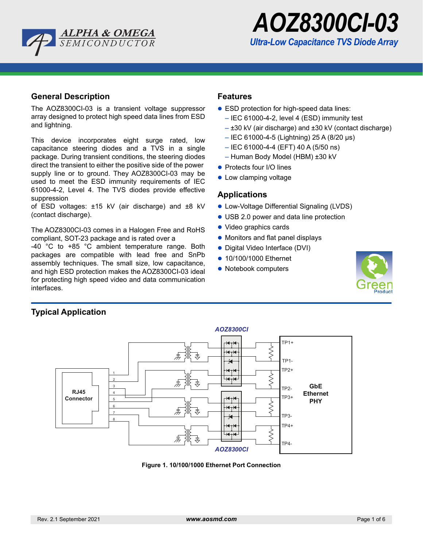



### **General Description**

The AOZ8300CI-03 is a transient voltage suppressor array designed to protect high speed data lines from ESD and lightning.

This device incorporates eight surge rated, low capacitance steering diodes and a TVS in a single package. During transient conditions, the steering diodes direct the transient to either the positive side of the power supply line or to ground. They AOZ8300CI-03 may be used to meet the ESD immunity requirements of IEC 61000-4-2, Level 4. The TVS diodes provide effective suppression

of ESD voltages: ±15 kV (air discharge) and ±8 kV (contact discharge).

The AOZ8300CI-03 comes in a Halogen Free and RoHS compliant, SOT-23 package and is rated over a

-40 °C to +85 °C ambient temperature range. Both packages are compatible with lead free and SnPb assembly techniques. The small size, low capacitance, and high ESD protection makes the AOZ8300CI-03 ideal for protecting high speed video and data communication interfaces.

### **Features**

- ESD protection for high-speed data lines:
	- IEC 61000-4-2, level 4 (ESD) immunity test
	- ±30 kV (air discharge) and ±30 kV (contact discharge)
	- IEC 61000-4-5 (Lightning) 25 A (8/20 µs)
	- IEC 61000-4-4 (EFT) 40 A (5/50 ns)
	- Human Body Model (HBM) ±30 kV
- Protects four I/O lines
- Low clamping voltage

#### **Applications**

- Low-Voltage Differential Signaling (LVDS)
- USB 2.0 power and data line protection
- Video graphics cards
- Monitors and flat panel displays
- Digital Video Interface (DVI)
- 10/100/1000 Ethernet
- Notebook computers





**Figure 1. 10/100/1000 Ethernet Port Connection**

**Typical Application**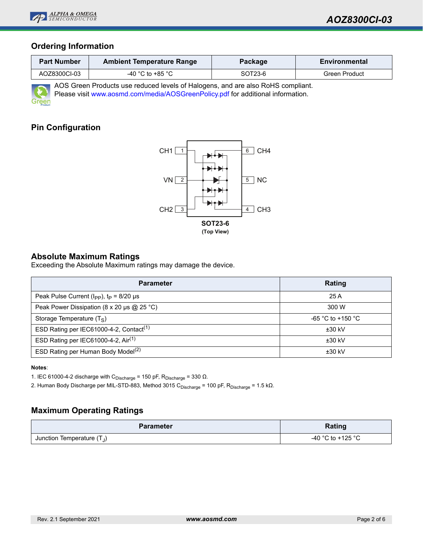

## **Ordering Information**

| <b>Part Number</b> | <b>Ambient Temperature Range</b> | Package | Environmental |
|--------------------|----------------------------------|---------|---------------|
| AOZ8300CI-03       | -40 °C to +85 °C                 | SOT23-6 | Green Product |

AOS Green Products use reduced levels of Halogens, and are also RoHS compliant. Please visit [www.aosmd.com/media/AOSGreenPolicy.pdf](http://www.aosmd.com/media/AOSGreenPolicy.pdf) for additional information.

# **Pin Configuration**



### **Absolute Maximum Ratings**

Exceeding the Absolute Maximum ratings may damage the device.

| <b>Parameter</b>                                    | Rating            |  |  |
|-----------------------------------------------------|-------------------|--|--|
| Peak Pulse Current ( $I_{PP}$ ), $t_P = 8/20 \mu s$ | 25 A              |  |  |
| Peak Power Dissipation (8 x 20 µs $@$ 25 °C)        | 300 W             |  |  |
| Storage Temperature $(T_S)$                         | -65 °C to +150 °C |  |  |
| ESD Rating per IEC61000-4-2, Contact <sup>(1)</sup> | $±30$ kV          |  |  |
| ESD Rating per IEC61000-4-2, Air <sup>(1)</sup>     | $±30$ kV          |  |  |
| ESD Rating per Human Body Model <sup>(2)</sup>      | $±30$ kV          |  |  |

#### **Notes**:

1. IEC 61000-4-2 discharge with C<sub>Discharge</sub> = 150 pF, R<sub>Discharge</sub> = 330 Ω.

2. Human Body Discharge per MIL-STD-883, Method 3015 C<sub>Discharge</sub> = 100 pF, R<sub>Discharge</sub> = 1.5 kΩ.

## **Maximum Operating Ratings**

| <b>Parameter</b>             | Rating            |  |
|------------------------------|-------------------|--|
| Junction Temperature $(T_J)$ | -40 °C to +125 °C |  |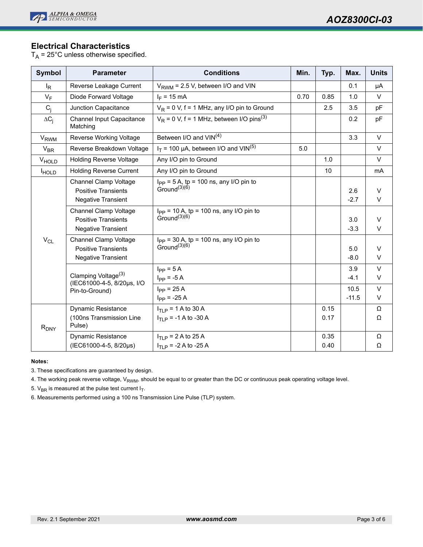

## **Electrical Characteristics**

 $T_A$  = 25°C unless otherwise specified.

| <b>Symbol</b>     | <b>Parameter</b>                                                                        | <b>Conditions</b>                                                                     | Min. | Typ.         | Max.            | <b>Units</b>     |
|-------------------|-----------------------------------------------------------------------------------------|---------------------------------------------------------------------------------------|------|--------------|-----------------|------------------|
| $I_R$             | Reverse Leakage Current                                                                 | $V_{RWM}$ = 2.5 V, between I/O and VIN                                                |      |              | 0.1             | μA               |
| $V_F$             | Diode Forward Voltage                                                                   | $I_F = 15 \text{ mA}$                                                                 | 0.70 | 0.85         | 1.0             | $\vee$           |
| $C_i$             | Junction Capacitance                                                                    | $V_R$ = 0 V, f = 1 MHz, any I/O pin to Ground                                         |      | 2.5          | 3.5             | pF               |
| $\Delta C_i$      | <b>Channel Input Capacitance</b><br>Matching                                            | $V_R$ = 0 V, f = 1 MHz, between I/O pins <sup>(3)</sup>                               |      |              | 0.2             | pF               |
| V <sub>RWM</sub>  | Reverse Working Voltage                                                                 | Between I/O and VIN <sup>(4)</sup>                                                    |      |              | 3.3             | $\vee$           |
| $V_{BR}$          | Reverse Breakdown Voltage                                                               | $I_T$ = 100 µA, between I/O and VIN <sup>(5)</sup>                                    | 5.0  |              |                 | $\vee$           |
| V <sub>HOLD</sub> | <b>Holding Reverse Voltage</b>                                                          | Any I/O pin to Ground                                                                 |      | 1.0          |                 | $\vee$           |
| <b>HOLD</b>       | <b>Holding Reverse Current</b>                                                          | Any I/O pin to Ground                                                                 |      | 10           |                 | mA               |
| $V_{CL}$          | <b>Channel Clamp Voltage</b><br><b>Positive Transients</b><br><b>Negative Transient</b> | $I_{PP}$ = 5 A, tp = 100 ns, any I/O pin to<br>Ground <sup>(3)(6)</sup>               |      |              | 2.6<br>$-2.7$   | $\vee$<br>V      |
|                   | <b>Channel Clamp Voltage</b><br><b>Positive Transients</b><br>Negative Transient        | $I_{PP}$ = 10 A, tp = 100 ns, any I/O pin to<br>Ground <sup><math>(3)(6)</math></sup> |      |              | 3.0<br>$-3.3$   | $\vee$<br>$\vee$ |
|                   | Channel Clamp Voltage<br><b>Positive Transients</b><br>Negative Transient               | $I_{PP}$ = 30 A, tp = 100 ns, any I/O pin to<br>Ground <sup><math>(3)(6)</math></sup> |      |              | 5.0<br>$-8.0$   | $\vee$<br>$\vee$ |
|                   | Clamping Voltage <sup>(3)</sup><br>(IEC61000-4-5, 8/20µs, I/O<br>Pin-to-Ground)         | $I_{\text{PP}} = 5 A$<br>$I_{PP} = -5 A$                                              |      |              | 3.9<br>$-4.1$   | $\vee$<br>V      |
|                   |                                                                                         | $I_{\text{PP}}$ = 25 A<br>$I_{PP} = -25 A$                                            |      |              | 10.5<br>$-11.5$ | $\vee$<br>$\vee$ |
| $R_{DNY}$         | <b>Dynamic Resistance</b><br>(100ns Transmission Line<br>Pulse)                         | $I_{TI, p}$ = 1 A to 30 A<br>$I_{TIP}$ = -1 A to -30 A                                |      | 0.15<br>0.17 |                 | Ω<br>Ω           |
|                   | <b>Dynamic Resistance</b><br>(IEC61000-4-5, 8/20µs)                                     | $I_{TI, P}$ = 2 A to 25 A<br>$I_{\text{T1 P}}$ = -2 A to -25 A                        |      | 0.35<br>0.40 |                 | Ω<br>Ω           |

#### **Notes:**

3. These specifications are guaranteed by design.

4. The working peak reverse voltage, V<sub>RWM</sub>, should be equal to or greater than the DC or continuous peak operating voltage level.

5.  $V_{BR}$  is measured at the pulse test current  $I_T$ .

6. Measurements performed using a 100 ns Transmission Line Pulse (TLP) system.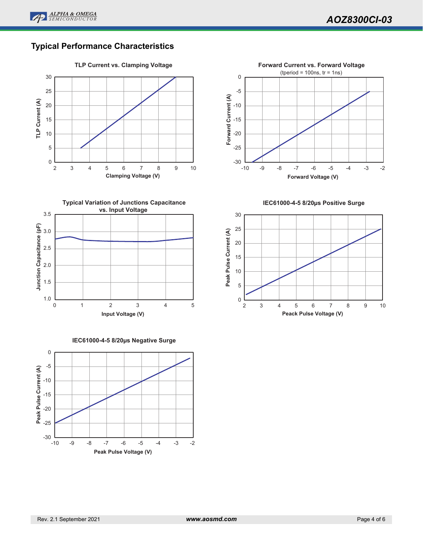

# **Typical Performance Characteristics**





**IEC61000-4-5 8/20µs Negative Surge**





**IEC61000-4-5 8/20µs Positive Surge**

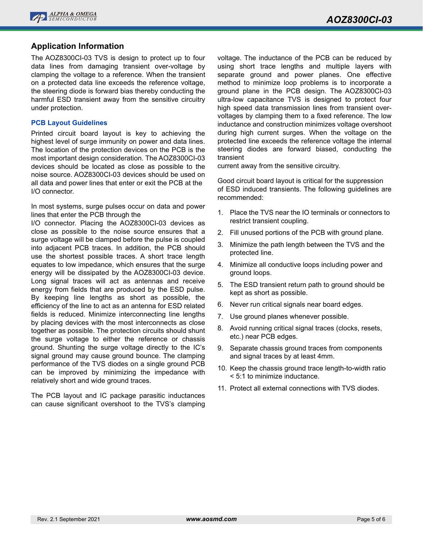

### **Application Information**

The AOZ8300CI-03 TVS is design to protect up to four data lines from damaging transient over-voltage by clamping the voltage to a reference. When the transient on a protected data line exceeds the reference voltage, the steering diode is forward bias thereby conducting the harmful ESD transient away from the sensitive circuitry under protection.

#### **PCB Layout Guidelines**

Printed circuit board layout is key to achieving the highest level of surge immunity on power and data lines. The location of the protection devices on the PCB is the most important design consideration. The AOZ8300CI-03 devices should be located as close as possible to the noise source. AOZ8300CI-03 devices should be used on all data and power lines that enter or exit the PCB at the I/O connector.

In most systems, surge pulses occur on data and power lines that enter the PCB through the

I/O connector. Placing the AOZ8300CI-03 devices as close as possible to the noise source ensures that a surge voltage will be clamped before the pulse is coupled into adjacent PCB traces. In addition, the PCB should use the shortest possible traces. A short trace length equates to low impedance, which ensures that the surge energy will be dissipated by the AOZ8300CI-03 device. Long signal traces will act as antennas and receive energy from fields that are produced by the ESD pulse. By keeping line lengths as short as possible, the efficiency of the line to act as an antenna for ESD related fields is reduced. Minimize interconnecting line lengths by placing devices with the most interconnects as close together as possible. The protection circuits should shunt the surge voltage to either the reference or chassis ground. Shunting the surge voltage directly to the IC's signal ground may cause ground bounce. The clamping performance of the TVS diodes on a single ground PCB can be improved by minimizing the impedance with relatively short and wide ground traces.

The PCB layout and IC package parasitic inductances can cause significant overshoot to the TVS's clamping

voltage. The inductance of the PCB can be reduced by using short trace lengths and multiple layers with separate ground and power planes. One effective method to minimize loop problems is to incorporate a ground plane in the PCB design. The AOZ8300CI-03 ultra-low capacitance TVS is designed to protect four high speed data transmission lines from transient overvoltages by clamping them to a fixed reference. The low inductance and construction minimizes voltage overshoot during high current surges. When the voltage on the protected line exceeds the reference voltage the internal steering diodes are forward biased, conducting the transient

current away from the sensitive circuitry.

Good circuit board layout is critical for the suppression of ESD induced transients. The following guidelines are recommended:

- 1. Place the TVS near the IO terminals or connectors to restrict transient coupling.
- 2. Fill unused portions of the PCB with ground plane.
- 3. Minimize the path length between the TVS and the protected line.
- 4. Minimize all conductive loops including power and ground loops.
- 5. The ESD transient return path to ground should be kept as short as possible.
- 6. Never run critical signals near board edges.
- 7. Use ground planes whenever possible.
- 8. Avoid running critical signal traces (clocks, resets, etc.) near PCB edges.
- 9. Separate chassis ground traces from components and signal traces by at least 4mm.
- 10. Keep the chassis ground trace length-to-width ratio < 5:1 to minimize inductance.
- 11. Protect all external connections with TVS diodes.